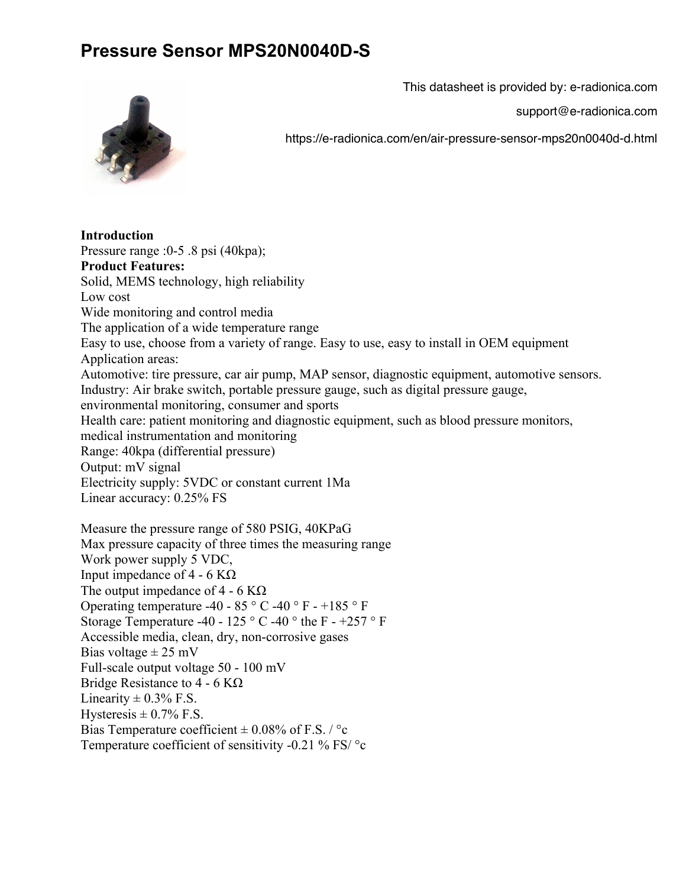## **Pressure Sensor MPS20N0040D-S**

This datasheet is provided by: e-radionica.com

support@e-radionica.com



https://e-radionica.com/en/air-pressure-sensor-mps20n0040d-d.html

**Introduction** Pressure range :0-5 .8 psi (40kpa); **Product Features:** Solid, MEMS technology, high reliability Low cost Wide monitoring and control media The application of a wide temperature range Easy to use, choose from a variety of range. Easy to use, easy to install in OEM equipment Application areas: Automotive: tire pressure, car air pump, MAP sensor, diagnostic equipment, automotive sensors. Industry: Air brake switch, portable pressure gauge, such as digital pressure gauge, environmental monitoring, consumer and sports Health care: patient monitoring and diagnostic equipment, such as blood pressure monitors, medical instrumentation and monitoring Range: 40kpa (differential pressure) Output: mV signal Electricity supply: 5VDC or constant current 1Ma Linear accuracy: 0.25% FS Measure the pressure range of 580 PSIG, 40KPaG Max pressure capacity of three times the measuring range Work power supply 5 VDC, Input impedance of 4 - 6 KΩ The output impedance of 4 - 6 K $\Omega$ Operating temperature -40 - 85 ° C -40 ° F - +185 ° F Storage Temperature -40 - 125 ° C -40 ° the F - +257 ° F Accessible media, clean, dry, non-corrosive gases Bias voltage  $\pm$  25 mV Full-scale output voltage 50 - 100 mV

Bridge Resistance to  $4 - 6$  K $\Omega$ 

Linearity  $\pm$  0.3% F.S. Hysteresis  $\pm$  0.7% F.S.

Bias Temperature coefficient  $\pm$  0.08% of F.S. / °c

Temperature coefficient of sensitivity -0.21 % FS/ °c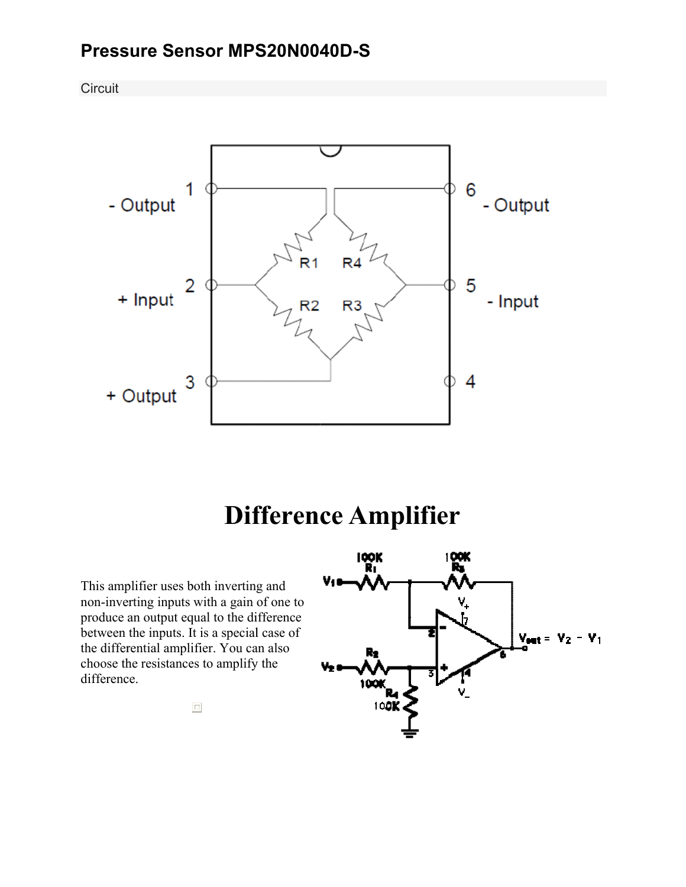## Pressure Sensor MPS20N0040D-S

Circuit



## **Difference Amplifier**

This amplifier uses both inverting and non-inverting inputs with a gain of one to produce an output equal to the difference between the inputs. It is a special case of the differential amplifier. You can also choose the resistances to amplify the difference.



 $\Box$